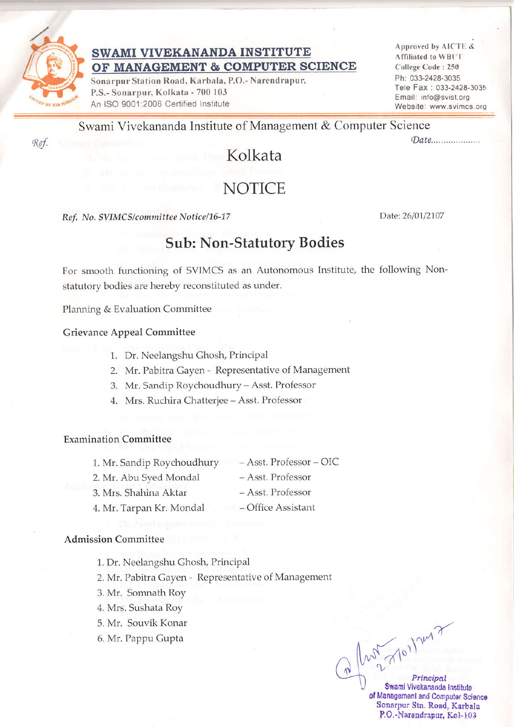

## SWAMI VIVEKANANDA INSTITUTE OF MANAGEMENT & COMPUTER SCIENCE

Sonarpur Station Road, Karbala, P.O.- Narendrapur, P.S.- Sonarpur, Kolkata - 700 103 An ISO 9001:2008 Certified Institute

Approved by AICTE & Affiliated to WBIT College Code: 250 Ph: 033-2428-3035 Tele Fax: 033-2428-3035 Email: info@svist.org Website: www.svimcs.org

 $\mathcal{D}$ ate..................

Swami Vivekananda Institute of Management & Computer Science

# Kolkata

## **NOTICE**

Ref. No. SVIMCS/committee Notice/16-17

Date: 26/01/2107

## **Sub: Non-Statutory Bodies**

For smooth functioning of SVIMCS as an Autonomous Institute, the following Nonstatutory bodies are hereby reconstituted as under.

Planning & Evaluation Committee

Grievance Appeal Committee

- 1. Dr. Neelangshu Ghosh, Principal
- 2. Mr. Pabitra Gayen Representative of Management
- 3. Mr. Sandip Roychoudhury Asst. Professor
- 4. Mrs. Ruchira Chatterjee Asst. Professor

### **Examination Committee**

- 1. Mr. Sandip Roychoudhury  $-$  Asst. Professor  $-$  OIC
- 2. Mr. Abu Syed Mondal
- Asst. Professor - Asst. Professor
- 3. Mrs. Shahina Aktar

#### - Office Assistant 4. Mr. Tarpan Kr. Mondal

### **Admission Committee**

1. Dr. Neelangshu Ghosh, Principal

2. Mr. Pabitra Gayen - Representative of Management

3. Mr. Somnath Roy

4. Mrs. Sushata Roy

- 5. Mr. Souvik Konar
- 6. Mr. Pappu Gupta

 $ln 27011247$ Principal Swami Vivekananda Institute of Management and Computer Science Sonarpur Stn. Road, Karbala P.O.-Narendrapur, Kol-103

Ref.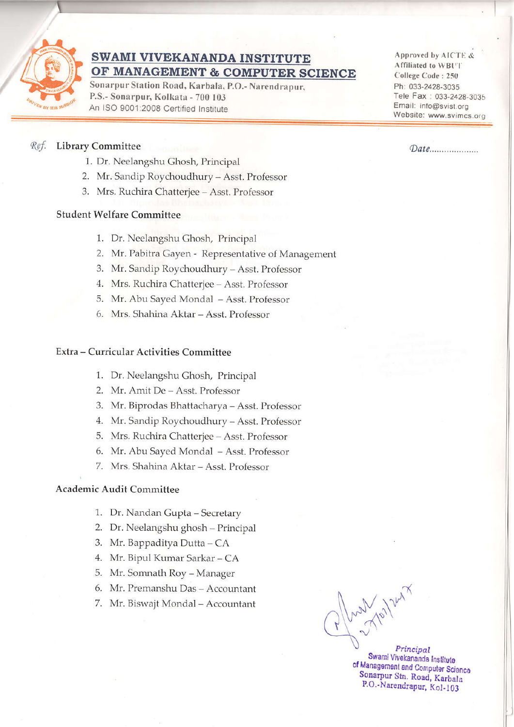

### SWAMI VIVEKANANDA INSTITUTE OF MANAGEMENT & COMPUTER SCIENCE

Sonarpur Station Road, Karbala, P.O.- Narendrapur. P.S.- Sonarpur, Kolkata - 700 103 An ISO 9001:2008 Certified Institute

Approved by AICTE & Affiliated to WBUT College Code: 250 Ph; 033-2428-3035 Tele Fax: 033-2428-3035 Email: info@svist.org Website: www.svimcs.org

## (e/ Library Committee (Dote.

- 1. Dr. Neelangshu Ghosh, Principal
- 2. Mr. Sandip Roychoudhury Asst. Professor
- 3. Mrs. Ruchira Chatterjee Asst. Professor

### Student Welfare Committee

- 1. Dr. Neelangshu Ghosh, Principal
- 2. Mr. Pabitra Gayen Representative of Management
- 3. Mr. Sandip Roychoudhury Asst. Professor
- 4. Mrs. Ruchira Chatterjee Asst. Professor
- 5. Mr. Abu Sayed Mondal Asst. Professor
- 6. Mrs. Shahina Aktar Asst. Professor

#### Extra - Curricular Activities Committee

- 1. Dr. Neelangshu Ghosh, Principal
- 2. Mr. Amit De Asst. Professor
- 3. Mr. Biptodas Bhattacharya Asst. Professor
- 4. Mr. Sandip Roychoudhury Asst. Professor
- 5. Mrs. Ruchira Chatterjee Asst. Professor
- 6. Mr. Abu Sayed Mondal Asst. Professor
- 7. Mrs. Shahina Aktar Asst. Professor

### Academic Audit Committee

- 1. Dr. Nandan Gupta Secretary
- 2. Dr. Neelangshu ghosh Principal
- 3. Mr. Bappaditya Dutta CA
- 4. Mr. Bipul Kumar Sarkar CA
- 5. Mr. Somnath Roy Manager
- 6. Mr. Premanshu Das Accountant
- 

7. Mr. Biswajt Mondal - Accountant  $\left(\sqrt{\frac{1}{\sqrt{2}}} \sqrt{2} \right)^{\gamma}$ 

Swami Vivekananda Institute<br>of Management and Computer Science<br>Sonarpur Stn. Road, Karbala P.O.-Narendrapur, Kol-103